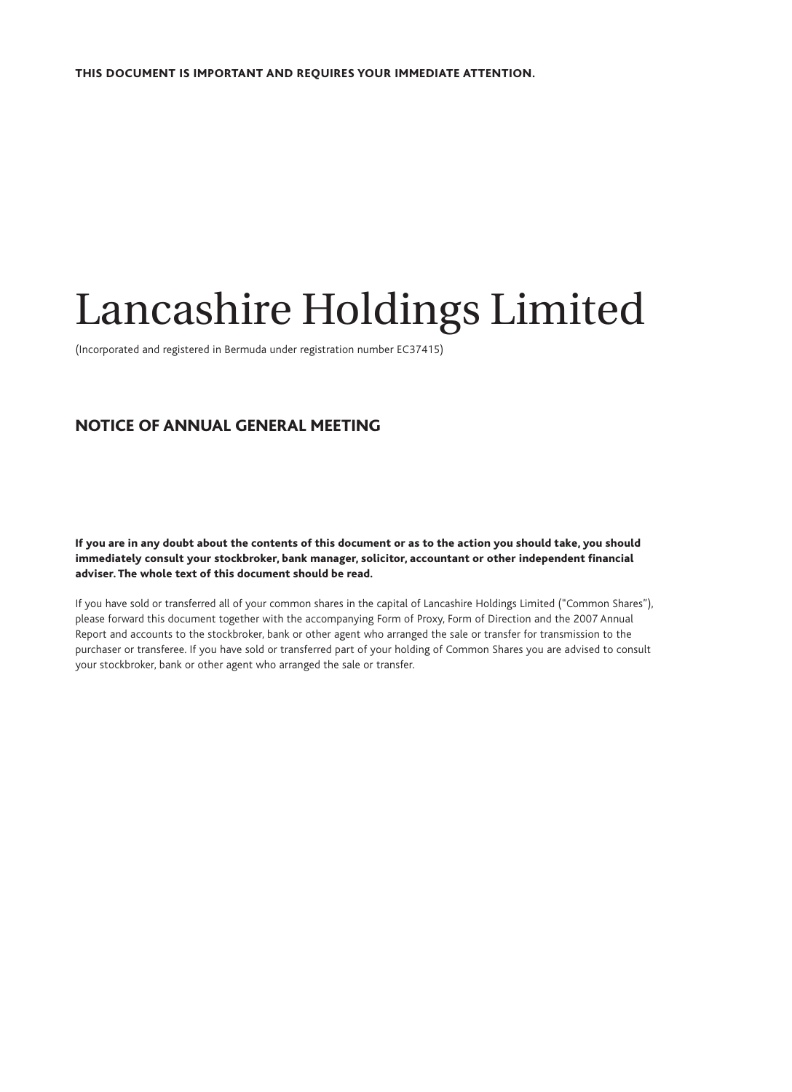# Lancashire Holdings Limited

(Incorporated and registered in Bermuda under registration number EC37415)

# NOTICE OF ANNUAL GENERAL MEETING

 If you are in any doubt about the contents of this document or as to the action you should take, you should immediately consult your stockbroker, bank manager, solicitor, accountant or other independent financial adviser. The whole text of this document should be read.

If you have sold or transferred all of your common shares in the capital of Lancashire Holdings Limited ("Common Shares"), please forward this document together with the accompanying Form of Proxy, Form of Direction and the 2007 Annual Report and accounts to the stockbroker, bank or other agent who arranged the sale or transfer for transmission to the purchaser or transferee. If you have sold or transferred part of your holding of Common Shares you are advised to consult your stockbroker, bank or other agent who arranged the sale or transfer.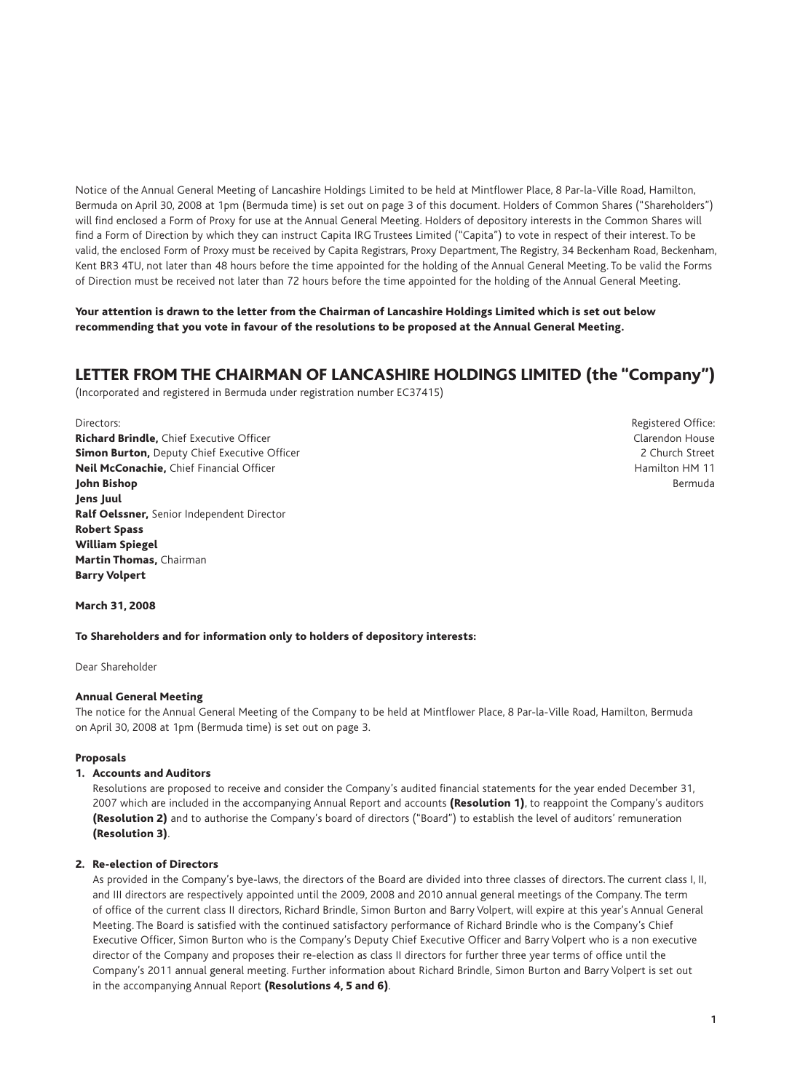Notice of the Annual General Meeting of Lancashire Holdings Limited to be held at Mintflower Place, 8 Par-la-Ville Road, Hamilton, Bermuda on April 30, 2008 at 1pm (Bermuda time) is set out on page 3 of this document. Holders of Common Shares ("Shareholders") will find enclosed a Form of Proxy for use at the Annual General Meeting. Holders of depository interests in the Common Shares will find a Form of Direction by which they can instruct Capita IRG Trustees Limited ("Capita") to vote in respect of their interest. To be valid, the enclosed Form of Proxy must be received by Capita Registrars, Proxy Department, The Registry, 34 Beckenham Road, Beckenham, Kent BR3 4TU, not later than 48 hours before the time appointed for the holding of the Annual General Meeting. To be valid the Forms of Direction must be received not later than 72 hours before the time appointed for the holding of the Annual General Meeting.

#### Your attention is drawn to the letter from the Chairman of Lancashire Holdings Limited which is set out below recommending that you vote in favour of the resolutions to be proposed at the Annual General Meeting.

# LETTER FROM THE CHAIRMAN OF LANCASHIRE HOLDINGS LIMITED (the "Company")

(Incorporated and registered in Bermuda under registration number EC37415)

Richard Brindle. Chief Executive Officer Communication Clarendon House Clarendon House Simon Burton, Deputy Chief Executive Officer 2 Church Street 2 Church Street 2 Church Street Neil McConachie, Chief Financial Officer **Hamilton HM 11** and the United States of Hamilton HM 11 **John Bishop Bermuda Bermuda Bermuda Bermuda Bermuda Bermuda Bermuda Bermuda Bermuda Bermuda Bermuda Bermuda Bermuda** Jens Juul Ralf Oelssner, Senior Independent Director Robert Spass William Spiegel Martin Thomas, Chairman Barry Volpert

Directors: **Registered Office: Registered Office: Registered Office: Registered Office: Registered Office: Registered Office: Registered Office: Registered Office: Registered Office: Registered Office:**

March 31, 2008

#### To Shareholders and for information only to holders of depository interests:

Dear Shareholder

### Annual General Meeting

The notice for the Annual General Meeting of the Company to be held at Mintflower Place, 8 Par-la-Ville Road, Hamilton, Bermuda on April 30, 2008 at 1pm (Bermuda time) is set out on page 3.

#### Proposals

#### 1. Accounts and Auditors

Resolutions are proposed to receive and consider the Company's audited financial statements for the year ended December 31. 2007 which are included in the accompanying Annual Report and accounts (Resolution 1), to reappoint the Company's auditors (Resolution 2) and to authorise the Company's board of directors ("Board") to establish the level of auditors' remuneration (Resolution 3).

### 2. Re-election of Directors

As provided in the Company's bye-laws, the directors of the Board are divided into three classes of directors. The current class I, II, and III directors are respectively appointed until the 2009, 2008 and 2010 annual general meetings of the Company. The term of office of the current class II directors, Richard Brindle, Simon Burton and Barry Volpert, will expire at this year's Annual General Meeting. The Board is satisfied with the continued satisfactory performance of Richard Brindle who is the Company's Chief Executive Officer, Simon Burton who is the Company's Deputy Chief Executive Officer and Barry Volpert who is a non executive director of the Company and proposes their re-election as class II directors for further three year terms of office until the Company's 2011 annual general meeting. Further information about Richard Brindle, Simon Burton and Barry Volpert is set out in the accompanying Annual Report (Resolutions 4, 5 and 6).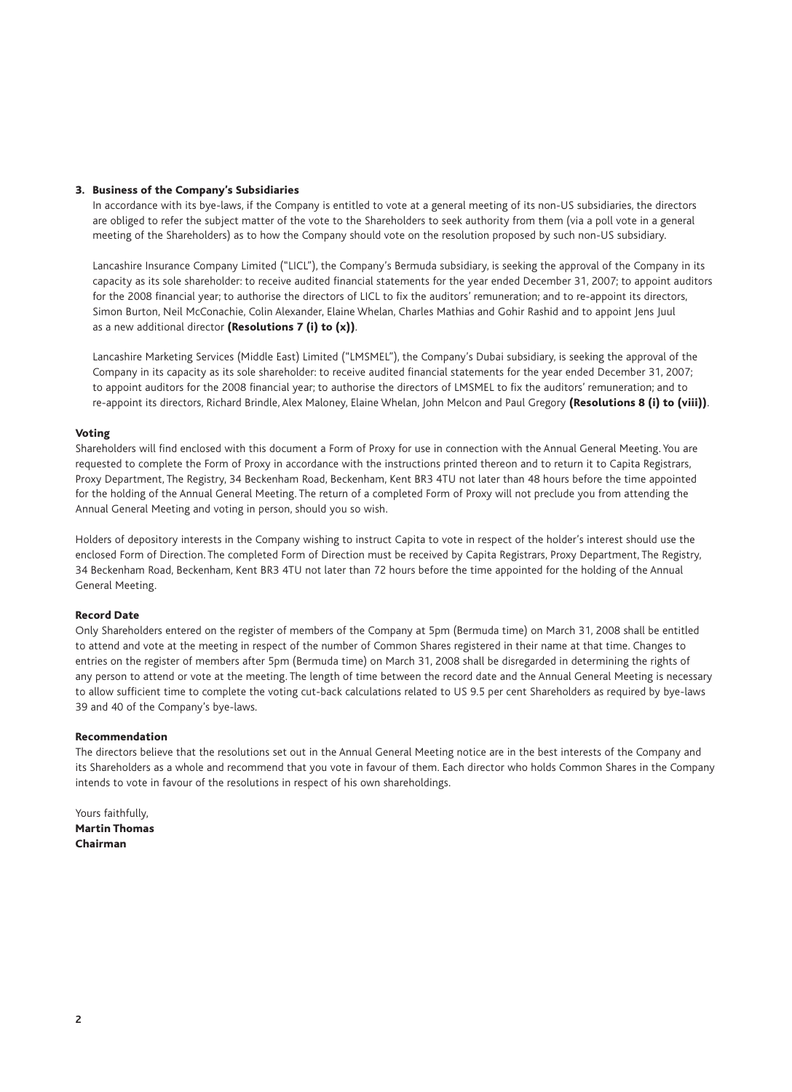#### 3. Business of the Company's Subsidiaries

In accordance with its bye-laws, if the Company is entitled to vote at a general meeting of its non-US subsidiaries, the directors are obliged to refer the subject matter of the vote to the Shareholders to seek authority from them (via a poll vote in a general meeting of the Shareholders) as to how the Company should vote on the resolution proposed by such non-US subsidiary.

 Lancashire Insurance Company Limited ("LICL"), the Company's Bermuda subsidiary, is seeking the approval of the Company in its capacity as its sole shareholder: to receive audited financial statements for the year ended December 31, 2007; to appoint auditors for the 2008 financial year; to authorise the directors of LICL to fix the auditors' remuneration; and to re-appoint its directors, Simon Burton, Neil McConachie, Colin Alexander, Elaine Whelan, Charles Mathias and Gohir Rashid and to appoint Jens Juul as a new additional director (Resolutions  $7$  (i) to  $(x)$ ).

 Lancashire Marketing Services (Middle East) Limited ("LMSMEL"), the Company's Dubai subsidiary, is seeking the approval of the Company in its capacity as its sole shareholder: to receive audited financial statements for the year ended December 31, 2007; to appoint auditors for the 2008 financial year; to authorise the directors of LMSMEL to fix the auditors' remuneration; and to re-appoint its directors, Richard Brindle, Alex Maloney, Elaine Whelan, John Melcon and Paul Gregory (Resolutions 8 (i) to (viii)).

#### Voting

Shareholders will find enclosed with this document a Form of Proxy for use in connection with the Annual General Meeting. You are requested to complete the Form of Proxy in accordance with the instructions printed thereon and to return it to Capita Registrars, Proxy Department, The Registry, 34 Beckenham Road, Beckenham, Kent BR3 4TU not later than 48 hours before the time appointed for the holding of the Annual General Meeting. The return of a completed Form of Proxy will not preclude you from attending the Annual General Meeting and voting in person, should you so wish.

Holders of depository interests in the Company wishing to instruct Capita to vote in respect of the holder's interest should use the enclosed Form of Direction. The completed Form of Direction must be received by Capita Registrars, Proxy Department, The Registry, 34 Beckenham Road, Beckenham, Kent BR3 4TU not later than 72 hours before the time appointed for the holding of the Annual General Meeting.

#### Record Date

Only Shareholders entered on the register of members of the Company at 5pm (Bermuda time) on March 31, 2008 shall be entitled to attend and vote at the meeting in respect of the number of Common Shares registered in their name at that time. Changes to entries on the register of members after 5pm (Bermuda time) on March 31, 2008 shall be disregarded in determining the rights of any person to attend or vote at the meeting. The length of time between the record date and the Annual General Meeting is necessary to allow sufficient time to complete the voting cut-back calculations related to US 9.5 per cent Shareholders as required by bye-laws 39 and 40 of the Company's bye-laws.

#### Recommendation

The directors believe that the resolutions set out in the Annual General Meeting notice are in the best interests of the Company and its Shareholders as a whole and recommend that you vote in favour of them. Each director who holds Common Shares in the Company intends to vote in favour of the resolutions in respect of his own shareholdings.

Yours faithfully, Martin Thomas Chairman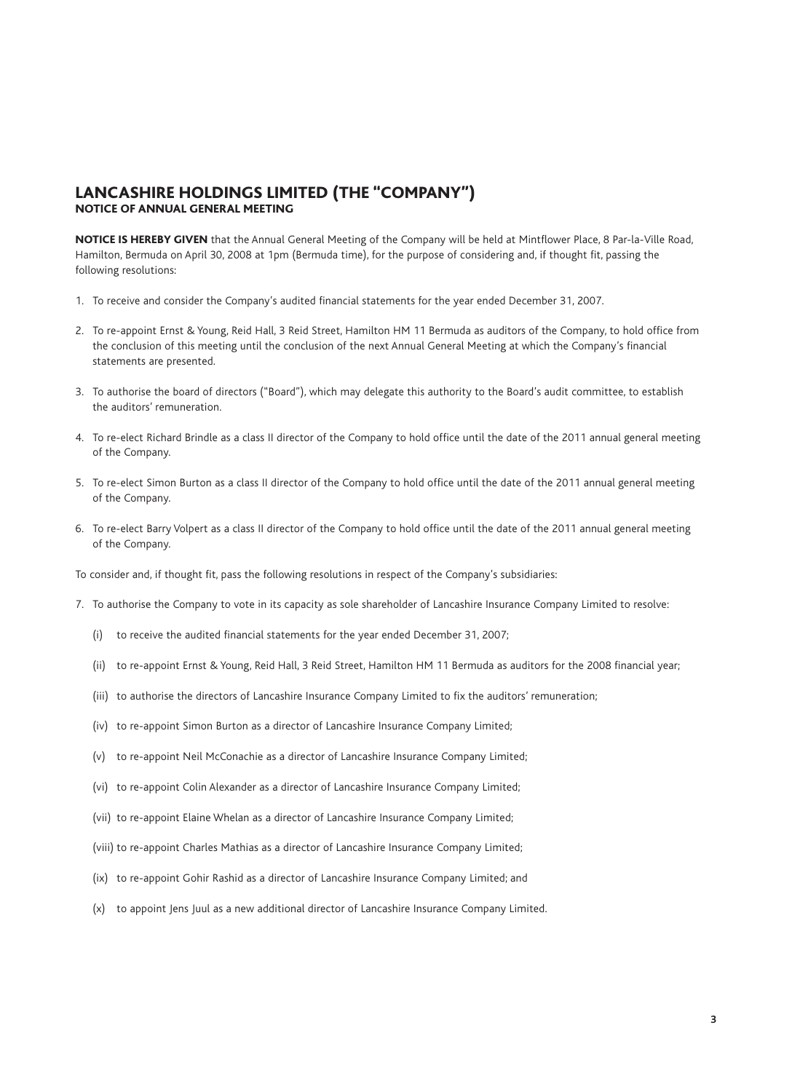# LANCASHIRE HOLDINGS LIMITED (THE "COMPANY") NOTICE OF ANNUAL GENERAL MEETING

NOTICE IS HEREBY GIVEN that the Annual General Meeting of the Company will be held at Mintflower Place, 8 Par-la-Ville Road, Hamilton, Bermuda on April 30, 2008 at 1pm (Bermuda time), for the purpose of considering and, if thought fit, passing the following resolutions:

- 1. To receive and consider the Company's audited financial statements for the year ended December 31, 2007.
- 2. To re-appoint Ernst & Young, Reid Hall, 3 Reid Street, Hamilton HM 11 Bermuda as auditors of the Company, to hold office from the conclusion of this meeting until the conclusion of the next Annual General Meeting at which the Company's financial statements are presented.
- 3. To authorise the board of directors ("Board"), which may delegate this authority to the Board's audit committee, to establish the auditors' remuneration.
- 4. To re-elect Richard Brindle as a class II director of the Company to hold office until the date of the 2011 annual general meeting of the Company.
- 5. To re-elect Simon Burton as a class II director of the Company to hold office until the date of the 2011 annual general meeting of the Company.
- 6. To re-elect Barry Volpert as a class II director of the Company to hold office until the date of the 2011 annual general meeting of the Company.

To consider and, if thought fit, pass the following resolutions in respect of the Company's subsidiaries:

- 7. To authorise the Company to vote in its capacity as sole shareholder of Lancashire Insurance Company Limited to resolve:
	- $(i)$  to receive the audited financial statements for the year ended December 31, 2007;
	- (ii) to re-appoint Ernst & Young, Reid Hall, 3 Reid Street, Hamilton HM 11 Bermuda as auditors for the 2008 financial year;
	- (iii) to authorise the directors of Lancashire Insurance Company Limited to fix the auditors' remuneration;
	- (iv) to re-appoint Simon Burton as a director of Lancashire Insurance Company Limited;
	- (v) to re-appoint Neil McConachie as a director of Lancashire Insurance Company Limited;
	- (vi) to re-appoint Colin Alexander as a director of Lancashire Insurance Company Limited;
	- (vii) to re-appoint Elaine Whelan as a director of Lancashire Insurance Company Limited;
	- (viii) to re-appoint Charles Mathias as a director of Lancashire Insurance Company Limited;
	- (ix) to re-appoint Gohir Rashid as a director of Lancashire Insurance Company Limited; and
	- (x) to appoint lens Juul as a new additional director of Lancashire Insurance Company Limited.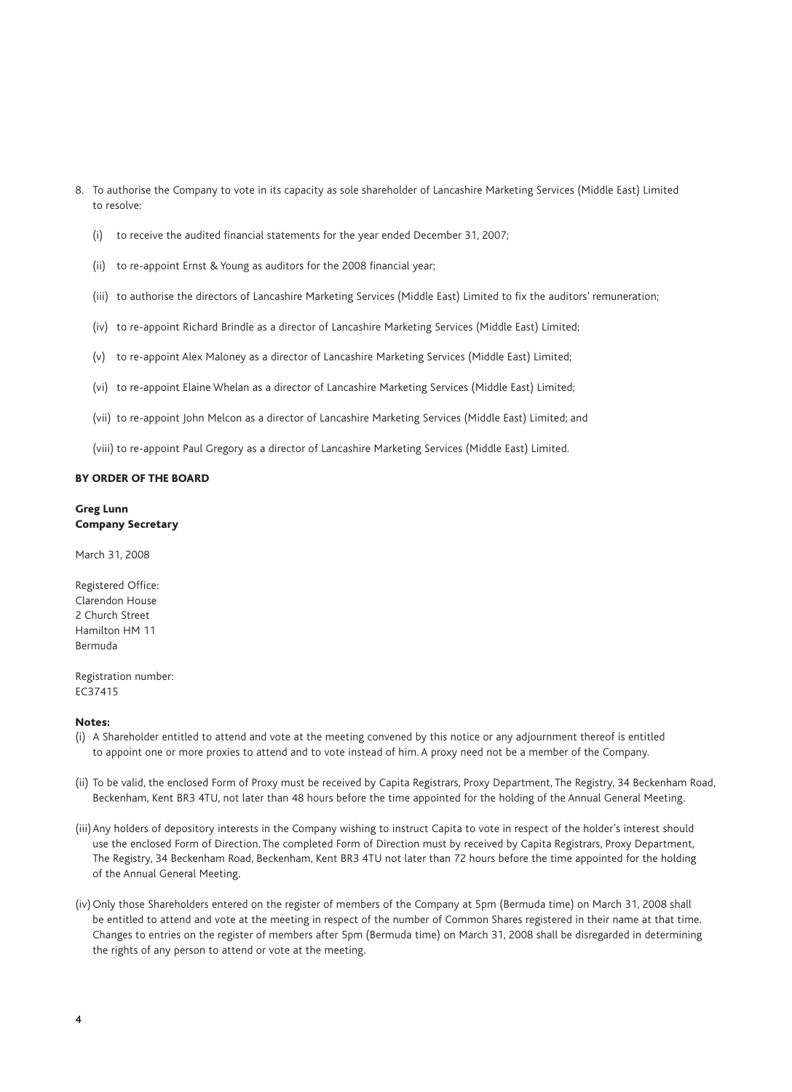- 8. To authorise the Company to vote in its capacity as sole shareholder of Lancashire Marketing Services (Middle East) Limited to resolve:
	- $(i)$  to receive the audited financial statements for the year ended December 31, 2007;
	- (ii) to re-appoint Ernst & Young as auditors for the 2008 financial year;
	- (iii) to authorise the directors of Lancashire Marketing Services (Middle East) Limited to fix the auditors' remuneration;
	- (iv) to re-appoint Richard Brindle as a director of Lancashire Marketing Services (Middle East) Limited;
	- (v) to re-appoint Alex Maloney as a director of Lancashire Marketing Services (Middle East) Limited;
	- (vi) to re-appoint Elaine Whelan as a director of Lancashire Marketing Services (Middle East) Limited;
	- (vii) to re-appoint John Melcon as a director of Lancashire Marketing Services (Middle East) Limited; and
	- (viii) to re-appoint Paul Gregory as a director of Lancashire Marketing Services (Middle East) Limited.

#### BY ORDER OF THE BOARD

#### Greg Lunn Company Secretary

March 31, 2008

Registered Office: Clarendon House 2 Church Street Hamilton HM 11 Bermuda

Registration number: EC37415

#### Notes:

- (i) A Shareholder entitled to attend and vote at the meeting convened by this notice or any adjournment thereof is entitled to appoint one or more proxies to attend and to vote instead of him. A proxy need not be a member of the Company.
- (ii) To be valid, the enclosed Form of Proxy must be received by Capita Registrars, Proxy Department, The Registry, 34 Beckenham Road, Beckenham, Kent BR3 4TU, not later than 48 hours before the time appointed for the holding of the Annual General Meeting.
- (iii) Any holders of depository interests in the Company wishing to instruct Capita to vote in respect of the holder's interest should use the enclosed Form of Direction. The completed Form of Direction must by received by Capita Registrars, Proxy Department, The Registry, 34 Beckenham Road, Beckenham, Kent BR3 4TU not later than 72 hours before the time appointed for the holding of the Annual General Meeting.
- (iv) Only those Shareholders entered on the register of members of the Company at 5pm (Bermuda time) on March 31, 2008 shall be entitled to attend and vote at the meeting in respect of the number of Common Shares registered in their name at that time. Changes to entries on the register of members after 5pm (Bermuda time) on March 31, 2008 shall be disregarded in determining the rights of any person to attend or vote at the meeting.